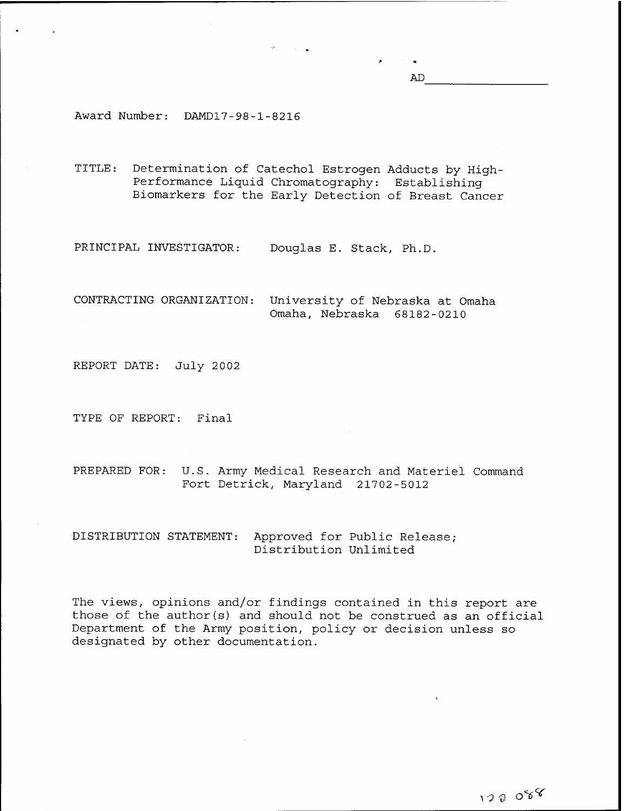AD

Award Number: DAMD17-98-1-8216

TITLE: Determination of Catechol Estrogen Adducts by High-Performance Liquid Chromatography: Establishing Biomarkers for the Early Detection of Breast Cancer

PRINCIPAL INVESTIGATOR: Douglas E. Stack, Ph.D.

CONTRACTING ORGANIZATION: University of Nebraska at Omaha Omaha, Nebraska 68182-0210

REPORT DATE: July 2002

TYPE OF REPORT: Final

PREPARED FOR: U.S. Army Medical Research and Materiel Command Fort Detrick, Maryland 21702-5012

DISTRIBUTION STATEMENT: Approved for Public Release; Distribution Unlimited

The views, opinions and/or findings contained in this report are those of the author(s) and should not be construed as an official Department of the Army position, policy or decision unless so designated by other documentation.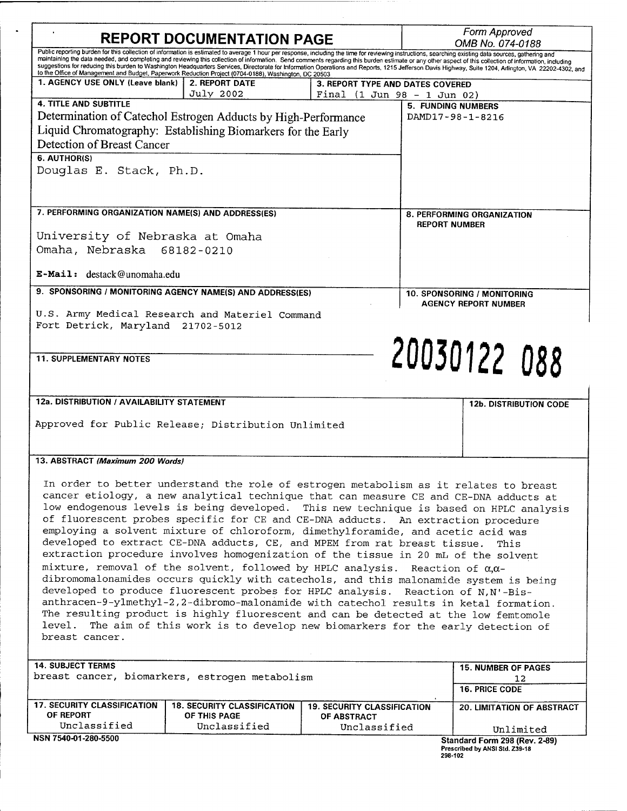| <b>REPORT DOCUMENTATION PAGE</b>                                                                                                                                                |                                                                                                                                                                                                                                                                                                                |                                                 | Form Approved<br>OMB No. 074-0188                                                                                                                                                                                                                                                                                                                                                                                |  |
|---------------------------------------------------------------------------------------------------------------------------------------------------------------------------------|----------------------------------------------------------------------------------------------------------------------------------------------------------------------------------------------------------------------------------------------------------------------------------------------------------------|-------------------------------------------------|------------------------------------------------------------------------------------------------------------------------------------------------------------------------------------------------------------------------------------------------------------------------------------------------------------------------------------------------------------------------------------------------------------------|--|
|                                                                                                                                                                                 | Public reporting burden for this collection of information is estimated to average 1 hour per response, including the time for reviewing instructions, searching existing data sources, gathering and<br>to the Office of Management and Budget, Paperwork Reduction Project (0704-0188), Washington, DC 20503 |                                                 | maintaining the data needed, and completing and reviewing this collection of information. Send comments regarding this burden estimate or any other aspect of this collection of information, including<br>suggestions for reducing this burden to Washington Headquarters Services, Directorate for Information Operations and Reports, 1215 Jefferson Davis Highway, Suite 1204, Arlington, VA 22202-4302, and |  |
| 1. AGENCY USE ONLY (Leave blank)                                                                                                                                                | <b>2. REPORT DATE</b>                                                                                                                                                                                                                                                                                          | 3. REPORT TYPE AND DATES COVERED                |                                                                                                                                                                                                                                                                                                                                                                                                                  |  |
| <b>4. TITLE AND SUBTITLE</b>                                                                                                                                                    | July 2002                                                                                                                                                                                                                                                                                                      | Final $(1 \text{ Jun } 98 - 1 \text{ Jun } 02)$ |                                                                                                                                                                                                                                                                                                                                                                                                                  |  |
|                                                                                                                                                                                 |                                                                                                                                                                                                                                                                                                                |                                                 | <b>5. FUNDING NUMBERS</b>                                                                                                                                                                                                                                                                                                                                                                                        |  |
|                                                                                                                                                                                 | Determination of Catechol Estrogen Adducts by High-Performance                                                                                                                                                                                                                                                 |                                                 | DAMD17-98-1-8216                                                                                                                                                                                                                                                                                                                                                                                                 |  |
|                                                                                                                                                                                 | Liquid Chromatography: Establishing Biomarkers for the Early                                                                                                                                                                                                                                                   |                                                 |                                                                                                                                                                                                                                                                                                                                                                                                                  |  |
| Detection of Breast Cancer                                                                                                                                                      |                                                                                                                                                                                                                                                                                                                |                                                 |                                                                                                                                                                                                                                                                                                                                                                                                                  |  |
| 6. AUTHOR(S)                                                                                                                                                                    |                                                                                                                                                                                                                                                                                                                |                                                 |                                                                                                                                                                                                                                                                                                                                                                                                                  |  |
| Douglas E. Stack, Ph.D.                                                                                                                                                         |                                                                                                                                                                                                                                                                                                                |                                                 |                                                                                                                                                                                                                                                                                                                                                                                                                  |  |
| 7. PERFORMING ORGANIZATION NAME(S) AND ADDRESS(ES)                                                                                                                              |                                                                                                                                                                                                                                                                                                                |                                                 | 8. PERFORMING ORGANIZATION                                                                                                                                                                                                                                                                                                                                                                                       |  |
|                                                                                                                                                                                 |                                                                                                                                                                                                                                                                                                                |                                                 | <b>REPORT NUMBER</b>                                                                                                                                                                                                                                                                                                                                                                                             |  |
| University of Nebraska at Omaha                                                                                                                                                 |                                                                                                                                                                                                                                                                                                                |                                                 |                                                                                                                                                                                                                                                                                                                                                                                                                  |  |
| Omaha, Nebraska 68182-0210                                                                                                                                                      |                                                                                                                                                                                                                                                                                                                |                                                 |                                                                                                                                                                                                                                                                                                                                                                                                                  |  |
|                                                                                                                                                                                 |                                                                                                                                                                                                                                                                                                                |                                                 |                                                                                                                                                                                                                                                                                                                                                                                                                  |  |
| E-Mail: destack@unomaha.edu                                                                                                                                                     |                                                                                                                                                                                                                                                                                                                |                                                 |                                                                                                                                                                                                                                                                                                                                                                                                                  |  |
| 9. SPONSORING / MONITORING AGENCY NAME(S) AND ADDRESS(ES)                                                                                                                       |                                                                                                                                                                                                                                                                                                                | 10. SPONSORING / MONITORING                     |                                                                                                                                                                                                                                                                                                                                                                                                                  |  |
|                                                                                                                                                                                 |                                                                                                                                                                                                                                                                                                                |                                                 | <b>AGENCY REPORT NUMBER</b>                                                                                                                                                                                                                                                                                                                                                                                      |  |
| Fort Detrick, Maryland 21702-5012                                                                                                                                               | U.S. Army Medical Research and Materiel Command                                                                                                                                                                                                                                                                |                                                 |                                                                                                                                                                                                                                                                                                                                                                                                                  |  |
|                                                                                                                                                                                 |                                                                                                                                                                                                                                                                                                                |                                                 |                                                                                                                                                                                                                                                                                                                                                                                                                  |  |
|                                                                                                                                                                                 |                                                                                                                                                                                                                                                                                                                |                                                 | 20030122 088                                                                                                                                                                                                                                                                                                                                                                                                     |  |
| <b>11. SUPPLEMENTARY NOTES</b>                                                                                                                                                  |                                                                                                                                                                                                                                                                                                                |                                                 |                                                                                                                                                                                                                                                                                                                                                                                                                  |  |
|                                                                                                                                                                                 |                                                                                                                                                                                                                                                                                                                |                                                 |                                                                                                                                                                                                                                                                                                                                                                                                                  |  |
|                                                                                                                                                                                 |                                                                                                                                                                                                                                                                                                                |                                                 |                                                                                                                                                                                                                                                                                                                                                                                                                  |  |
| 12a. DISTRIBUTION / AVAILABILITY STATEMENT                                                                                                                                      |                                                                                                                                                                                                                                                                                                                |                                                 | <b>12b. DISTRIBUTION CODE</b>                                                                                                                                                                                                                                                                                                                                                                                    |  |
|                                                                                                                                                                                 |                                                                                                                                                                                                                                                                                                                |                                                 |                                                                                                                                                                                                                                                                                                                                                                                                                  |  |
| Approved for Public Release; Distribution Unlimited                                                                                                                             |                                                                                                                                                                                                                                                                                                                |                                                 |                                                                                                                                                                                                                                                                                                                                                                                                                  |  |
|                                                                                                                                                                                 |                                                                                                                                                                                                                                                                                                                |                                                 |                                                                                                                                                                                                                                                                                                                                                                                                                  |  |
|                                                                                                                                                                                 |                                                                                                                                                                                                                                                                                                                |                                                 |                                                                                                                                                                                                                                                                                                                                                                                                                  |  |
| 13. ABSTRACT (Maximum 200 Words)                                                                                                                                                |                                                                                                                                                                                                                                                                                                                |                                                 |                                                                                                                                                                                                                                                                                                                                                                                                                  |  |
|                                                                                                                                                                                 |                                                                                                                                                                                                                                                                                                                |                                                 |                                                                                                                                                                                                                                                                                                                                                                                                                  |  |
| In order to better understand the role of estrogen metabolism as it relates to breast                                                                                           |                                                                                                                                                                                                                                                                                                                |                                                 |                                                                                                                                                                                                                                                                                                                                                                                                                  |  |
| cancer etiology, a new analytical technique that can measure CE and CE-DNA adducts at<br>low endogenous levels is being developed. This new technique is based on HPLC analysis |                                                                                                                                                                                                                                                                                                                |                                                 |                                                                                                                                                                                                                                                                                                                                                                                                                  |  |
| of fluorescent probes specific for CE and CE-DNA adducts. An extraction procedure                                                                                               |                                                                                                                                                                                                                                                                                                                |                                                 |                                                                                                                                                                                                                                                                                                                                                                                                                  |  |
| employing a solvent mixture of chloroform, dimethylforamide, and acetic acid was                                                                                                |                                                                                                                                                                                                                                                                                                                |                                                 |                                                                                                                                                                                                                                                                                                                                                                                                                  |  |
| developed to extract CE-DNA adducts, CE, and MPEM from rat breast tissue.<br>This                                                                                               |                                                                                                                                                                                                                                                                                                                |                                                 |                                                                                                                                                                                                                                                                                                                                                                                                                  |  |
| extraction procedure involves homogenization of the tissue in 20 mL of the solvent                                                                                              |                                                                                                                                                                                                                                                                                                                |                                                 |                                                                                                                                                                                                                                                                                                                                                                                                                  |  |
| mixture, removal of the solvent, followed by HPLC analysis. Reaction of $\alpha, \alpha$ -                                                                                      |                                                                                                                                                                                                                                                                                                                |                                                 |                                                                                                                                                                                                                                                                                                                                                                                                                  |  |
| dibromomalonamides occurs quickly with catechols, and this malonamide system is being                                                                                           |                                                                                                                                                                                                                                                                                                                |                                                 |                                                                                                                                                                                                                                                                                                                                                                                                                  |  |
| developed to produce fluorescent probes for HPLC analysis. Reaction of N,N'-Bis-                                                                                                |                                                                                                                                                                                                                                                                                                                |                                                 |                                                                                                                                                                                                                                                                                                                                                                                                                  |  |
| anthracen-9-ylmethyl-2,2-dibromo-malonamide with catechol results in ketal formation.                                                                                           |                                                                                                                                                                                                                                                                                                                |                                                 |                                                                                                                                                                                                                                                                                                                                                                                                                  |  |
| The resulting product is highly fluorescent and can be detected at the low femtomole                                                                                            |                                                                                                                                                                                                                                                                                                                |                                                 |                                                                                                                                                                                                                                                                                                                                                                                                                  |  |
| level.<br>The aim of this work is to develop new biomarkers for the early detection of                                                                                          |                                                                                                                                                                                                                                                                                                                |                                                 |                                                                                                                                                                                                                                                                                                                                                                                                                  |  |
| breast cancer.                                                                                                                                                                  |                                                                                                                                                                                                                                                                                                                |                                                 |                                                                                                                                                                                                                                                                                                                                                                                                                  |  |
|                                                                                                                                                                                 |                                                                                                                                                                                                                                                                                                                |                                                 |                                                                                                                                                                                                                                                                                                                                                                                                                  |  |
| <b>14. SUBJECT TERMS</b><br>breast cancer, biomarkers, estrogen metabolism                                                                                                      |                                                                                                                                                                                                                                                                                                                |                                                 | <b>15. NUMBER OF PAGES</b><br>12                                                                                                                                                                                                                                                                                                                                                                                 |  |
|                                                                                                                                                                                 |                                                                                                                                                                                                                                                                                                                |                                                 | <b>16. PRICE CODE</b>                                                                                                                                                                                                                                                                                                                                                                                            |  |
| <b>17. SECURITY CLASSIFICATION</b>                                                                                                                                              | <b>18. SECURITY CLASSIFICATION</b>                                                                                                                                                                                                                                                                             | <b>19. SECURITY CLASSIFICATION</b>              | 20. LIMITATION OF ABSTRACT                                                                                                                                                                                                                                                                                                                                                                                       |  |
| OF REPORT                                                                                                                                                                       | OF THIS PAGE                                                                                                                                                                                                                                                                                                   | <b>OF ABSTRACT</b>                              |                                                                                                                                                                                                                                                                                                                                                                                                                  |  |
| Unclassified                                                                                                                                                                    | Unclassified                                                                                                                                                                                                                                                                                                   | Unclassified                                    | Unlimited                                                                                                                                                                                                                                                                                                                                                                                                        |  |
| NSN 7540-01-280-5500                                                                                                                                                            |                                                                                                                                                                                                                                                                                                                |                                                 | Standard Form 298 (Rev. 2-89)                                                                                                                                                                                                                                                                                                                                                                                    |  |
|                                                                                                                                                                                 |                                                                                                                                                                                                                                                                                                                |                                                 | Prescribed by ANSI Std. Z39-18<br>298-102                                                                                                                                                                                                                                                                                                                                                                        |  |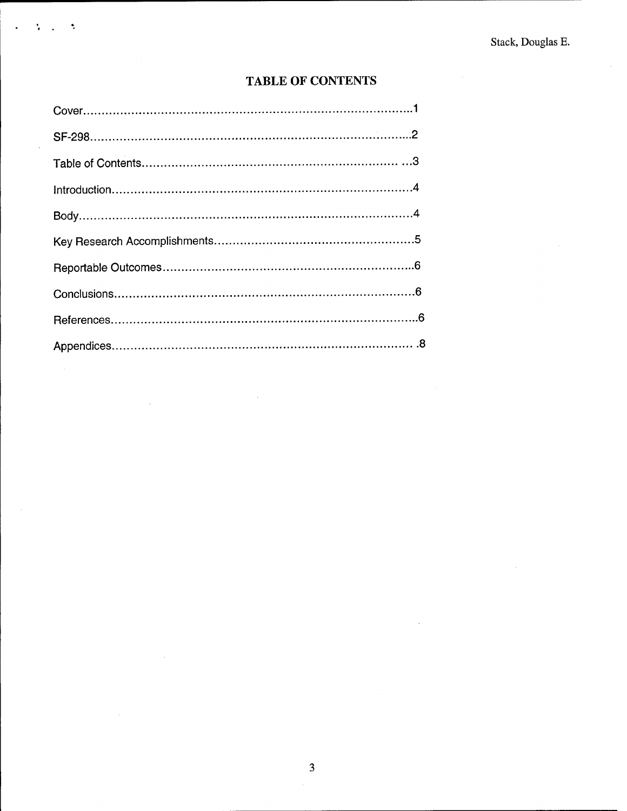$\bar{\bar{z}}$ 

# TABLE OF CONTENTS

Ņ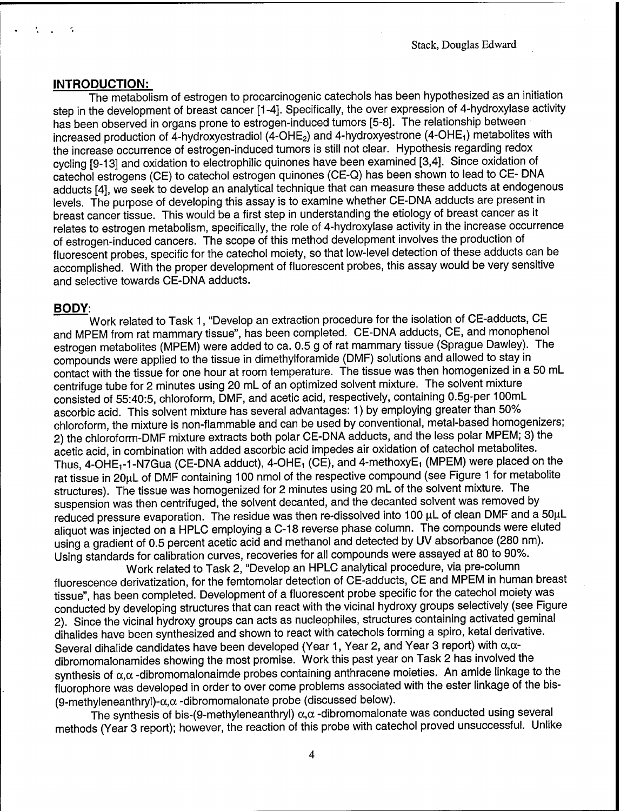### **INTRODUCTION:**

The metabolism of estrogen to procarcinogenic catechols has been hypothesized as an initiation step in the development of breast cancer [1-4]. Specifically, the over expression of 4-hydroxylase activity has been observed in organs prone to estrogen-induced tumors [5-8]. The relationship between increased production of  $\check{4}$ -hydroxyestradiol ( $\check{4}$ -OHE<sub>2</sub>) and 4-hydroxyestrone (4-OHE<sub>1</sub>) metabolites with the increase occurrence of estrogen-induced tumors is still not clear. Hypothesis regarding redox cycling [9-13] and oxidation to electrophilic quinones have been examined [3,4]. Since oxidation of catechol estrogens (CE) to catechol estrogen quinones (CE-Q) has been shown to lead to CE- DNA adducts [4], we seek to develop an analytical technique that can measure these adducts at endogenous levels. The purpose of developing this assay is to examine whether CE-DNA adducts are present in breast cancer tissue. This would be a first step in understanding the etiology of breast cancer as it relates to estrogen metabolism, specifically, the role of 4-hydroxylase activity in the increase occurrence of estrogen-induced cancers. The scope of this method development involves the production of fluorescent probes, specific for the catechol moiety, so that low-level detection of these adducts can be accomplished. With the proper development of fluorescent probes, this assay would be very sensitive and selective towards CE-DNA adducts.

### **BODY:**

Work related to Task 1, "Develop an extraction procedure for the isolation of CE-adducts, CE and MPEM from rat mammary tissue", has been completed. CE-DNA adducts, CE, and monophenol estrogen metabolites (MPEM) were added to ca. 0.5 g of rat mammary tissue (Sprague Dawley). The compounds were applied to the tissue in dimethylforamide (DMF) solutions and allowed to stay in contact with the tissue for one hour at room temperature. The tissue was then homogenized in a 50 mL centrifuge tube for 2 minutes using 20 mL of an optimized solvent mixture. The solvent mixture consisted of 55:40:5, chloroform, DMF, and acetic acid, respectively, containing 0.5g-per 100mL ascorbic acid. This solvent mixture has several advantages: 1) by employing greater than 50% chloroform, the mixture is non-flammable and can be used by conventional, metal-based homogenizers; 2) the chloroform-DMF mixture extracts both polar CE-DNA adducts, and the less polar MPEM; 3) the acetic acid, in combination with added ascorbic acid impedes air oxidation of catechol metabolites. Thus, 4-OHE<sub>1</sub>-1-N7Gua (CE-DNA adduct), 4-OHE<sub>1</sub> (CE), and 4-methoxyE<sub>1</sub> (MPEM) were placed on the rat tissue in 20µL of DMF containing 100 nmol of the respective compound (see Figure 1 for metabolite structures). The tissue was homogenized for 2 minutes using 20 mL of the solvent mixture. The suspension was then centrifuged, the solvent decanted, and the decanted solvent was removed by reduced pressure evaporation. The residue was then re-dissolved into 100 µL of clean DMF and a 50µL aliquot was injected on a HPLC employing a C-18 reverse phase column. The compounds were eluted using a gradient of 0.5 percent acetic acid and methanol and detected by UV absorbance (280 nm). Using standards for calibration curves, recoveries for all compounds were assayed at 80 to 90%.

Work related to Task 2, "Develop an HPLC analytical procedure, via pre-column fluorescence derivatization, for the femtomolar detection of CE-adducts, CE and MPEM in human breast tissue", has been completed. Development of a fluorescent probe specific for the catechol moiety was conducted by developing structures that can react with the vicinal hydroxy groups selectively (see Figure 2). Since the vicinal hydroxy groups can acts as nucleophiles, structures containing activated geminal dihalides have been synthesized and shown to react with catechols forming a spiro, ketal derivative. Several dihalide candidates have been developed (Year 1, Year 2, and Year 3 report) with  $\alpha,\alpha$ dibromomalonamides showing the most promise. Work this past year on Task 2 has involved the synthesis of  $\alpha,\alpha$  -dibromomalonaimde probes containing anthracene moieties. An amide linkage to the fluorophore was developed in order to over come problems associated with the ester linkage of the bis- (9-methyleneanthryl)- $\alpha, \alpha$  -dibromomalonate probe (discussed below).

The synthesis of bis-(9-methyleneanthryl)  $\alpha, \alpha$  -dibromomalonate was conducted using several methods (Year 3 report); however, the reaction of this probe with catechol proved unsuccessful. Unlike

 $\overline{4}$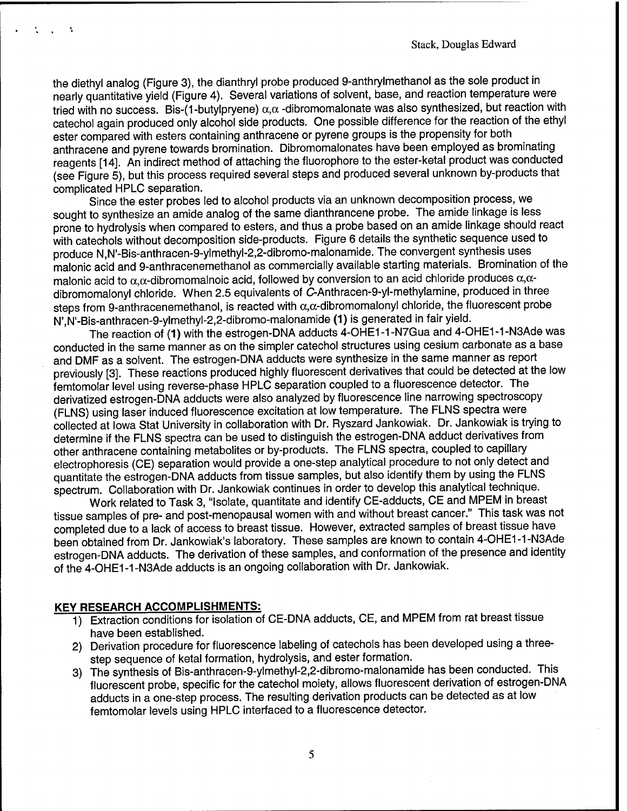the diethyl analog (Figure 3), the dianthryl probe produced 9-anthrylmethanol as the sole product in nearly quantitative yield (Figure 4). Several variations of solvent, base, and reaction temperature were tried with no success. Bis-(1-butylpryene)  $\alpha, \alpha$  -dibromomalonate was also synthesized, but reaction with catechol again produced only alcohol side products. One possible difference for the reaction of the ethyl ester compared with esters containing anthracene or pyrene groups is the propensity for both anthracene and pyrene towards bromination. Dibromomalonates have been employed as brominating reagents [14]. An indirect method of attaching the fluorophore to the ester-ketal product was conducted (see Figure 5), but this process required several steps and produced several unknown by-products that complicated HPLC separation.

Since the ester probes led to alcohol products via an unknown decomposition process, we sought to synthesize an amide analog of the same dianthrancene probe. The amide linkage is less prone to hydrolysis when compared to esters, and thus a probe based on an amide linkage should react with catechols without decomposition side-products. Figure 6 details the synthetic sequence used to produce N,N'-Bis-anthracen-9-ylmethyl-2,2-dibromo-malonamide. The convergent synthesis uses malonic acid and 9-anthracenemethanol as commercially available starting materials. Bromination of the malonic acid to  $\alpha, \alpha$ -dibromomalnoic acid, followed by conversion to an acid chloride produces  $\alpha, \alpha$ dibromomalonyl chloride. When 2.5 equivalents of C-Anthracen-9-yl-methylamine, produced in three steps from 9-anthracenemethanol, is reacted with  $\alpha, \alpha$ -dibromomalonyl chloride, the fluorescent probe N',N'-Bis-anthracen-9-ylmethyl-2,2-dibromo-malonamide (1) is generated in fair yield.

The reaction of (1) with the estrogen-DNA adducts 4-OHE1-1-N7Gua and 4-OHE1-1-N3Ade was conducted in the same manner as on the simpler catechol structures using cesium carbonate as a base and DMF as a solvent. The estrogen-DNA adducts were synthesize in the same manner as report previously [3]. These reactions produced highly fluorescent derivatives that could be detected at the low femtomolar level using reverse-phase HPLC separation coupled to a fluorescence detector. The derivatized estrogen-DNA adducts were also analyzed by fluorescence line narrowing spectroscopy (FLNS) using laser induced fluorescence excitation at low temperature. The FLNS spectra were collected at Iowa Stat University in collaboration with Dr. Ryszard Jankowiak. Dr. Jankowiak is trying to determine if the FLNS spectra can be used to distinguish the estrogen-DNA adduct derivatives from other anthracene containing metabolites or by-products. The FLNS spectra, coupled to capillary electrophoresis (CE) separation would provide a one-step analytical procedure to not only detect and quantitate the estrogen-DNA adducts from tissue samples, but also identify them by using the FLNS spectrum. Collaboration with Dr. Jankowiak continues in order to develop this analytical technique.

Work related to Task 3, "Isolate, quantitate and identify CE-adducts, CE and MPEM in breast tissue samples of pre- and post-menopausal women with and without breast cancer." This task was not completed due to a lack of access to breast tissue. However, extracted samples of breast tissue have been obtained from Dr. Jankowiak's laboratory. These samples are known to contain 4-OHE1-1-N3Ade estrogen-DNA adducts. The derivation of these samples, and conformation of the presence and identity of the 4-OHE1-1-N3Ade adducts is an ongoing collaboration with Dr. Jankowiak.

#### **KEY RESEARCH ACCOMPLISHMENTS:**

- 1) Extraction conditions for isolation of CE-DNA adducts, CE, and MPEM from rat breast tissue have been established.
- 2) Derivation procedure for fluorescence labeling of catechols has been developed using a threestep sequence of ketal formation, hydrolysis, and ester formation.
- 3) The synthesis of Bis-anthracen-9-ylmethyl-2,2-dibromo-malonamide has been conducted. This fluorescent probe, specific for the catechol moiety, allows fluorescent derivation of estrogen-DNA adducts in a one-step process. The resulting derivation products can be detected as at low femtomolar levels using HPLC interfaced to a fluorescence detector.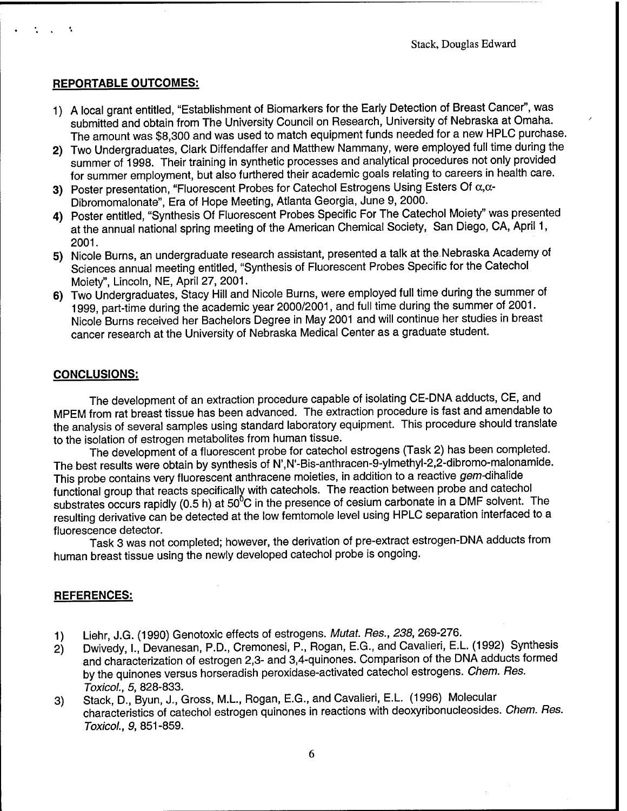# **REPORTABLE OUTCOMES:**

- 1) A local grant entitled, "Establishment of Biomarkers for the Early Detection of Breast Cancer", was submitted and obtain from The University Council on Research, University of Nebraska at Omaha. The amount was \$8,300 and was used to match equipment funds needed for a new HPLC purchase.
- 2) Two Undergraduates, Clark Diffendaffer and Matthew Nammany, were employed full time during the summer of 1998. Their training in synthetic processes and analytical procedures not only provided for summer employment, but also furthered their academic goals relating to careers in health care.
- 3) Poster presentation, "Fluorescent Probes for Catechol Estrogens Using Esters Of  $\alpha, \alpha$ -Dibromomalonate", Era of Hope Meeting, Atlanta Georgia, June 9, 2000.
- 4) Poster entitled, "Synthesis Of Fluorescent Probes Specific For The Catechol Moiety" was presented at the annual national spring meeting of the American Chemical Society, San Diego, CA, April 1, 2001.
- 5) Nicole Burns, an undergraduate research assistant, presented a talk at the Nebraska Academy of Sciences annual meeting entitled, "Synthesis of Fluorescent Probes Specific for the Catechol Moiety", Lincoln, NE, April 27, 2001.
- 6) Two Undergraduates, Stacy Hill and Nicole Burns, were employed full time during the summer of 1999, part-time during the academic year 2000/2001, and full time during the summer of 2001. Nicole Burns received her Bachelors Degree in May 2001 and will continue her studies in breast cancer research at the University of Nebraska Medical Center as a graduate student.

# **CONCLUSIONS:**

The development of an extraction procedure capable of isolating CE-DNA adducts, CE, and MPEM from rat breast tissue has been advanced. The extraction procedure is fast and amendable to the analysis of several samples using standard laboratory equipment. This procedure should translate to the isolation of estrogen metabolites from human tissue.

The development of a fluorescent probe for catechol estrogens (Task 2) has been completed. The best results were obtain by synthesis of N',N'-Bis-anthracen-9-ylmethyl-2,2-dibromo-malonamide. This probe contains very fluorescent anthracene moieties, in addition to a reactive gem-dihalide functional group that reacts specifically with catechols. The reaction between probe and catechol substrates occurs rapidly (0.5 h) at  $50^6$ C in the presence of cesium carbonate in a DMF solvent. The resulting derivative can be detected at the low femtomole level using HPLC separation interfaced to a fluorescence detector.

Task 3 was not completed; however, the derivation of pre-extract estrogen-DNA adducts from human breast tissue using the newly developed catechol probe is ongoing.

### **REFERENCES:**

- 1) Liehr, J.G. (1990) Genotoxic effects of estrogens. *Mutat. Res., 238,* 269-276.
- 2) Dwivedy, I., Devanesan, P.D., Cremonesi, P., Rogan, E.G., and Cavalieri, E.L. (1992) Synthesis and characterization of estrogen 2,3- and 3,4-quinones. Comparison of the DNA adducts formed by the quinones versus horseradish peroxidase-activated catechol estrogens. *Chem. Res. Toxicol., 5,* 828-833.
- 3) Stack, D., Byun, J., Gross, M.L., Rogan, E.G., and Cavalieri, E.L. (1996) Molecular characteristics of catechol estrogen quinones in reactions with deoxyribonucleosides. *Chem. Res. Toxicol., 9,* 851-859.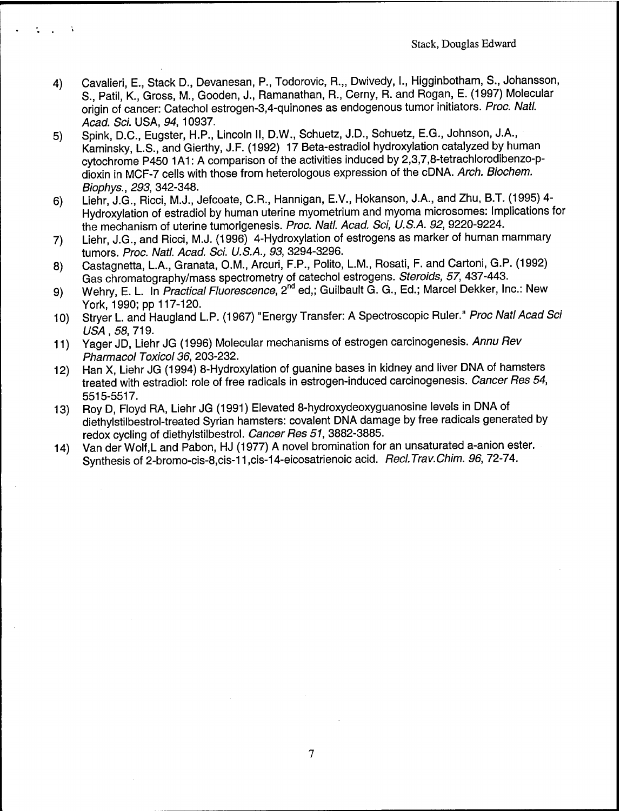- 4) Cavalieri, E., Stack D., Devanesan, P., Todorovic, R.,, Dwivedy, I., Higginbotham, S., Johansson, S., Patil, K., Gross, M., Gooden, J., Ramanathan, R., Cerny, R. and Rogan, E. (1997) Molecular origin of cancer: Catechol estrogen-3,4-quinones as endogenous tumor initiators. *Proc. Natl. Acad. Sei.* USA, *94,* 10937.
- 5) Spink, D.C., Eugster, H.P., Lincoln II, D.W., Schuetz, J.D., Schuetz, E.G., Johnson, J.A., Kaminsky, L.S., and Gierthy, J.F. (1992) 17 Beta-estradiol hydroxylation catalyzed by human cytochrome P450 1A1: A comparison of the activities induced by 2,3,7,8-tetrachlorodibenzo-pdioxin in MCF-7 cells with those from heterologous expression of the cDNA. *Arch. Biochem. Biophys., 293,* 342-348.
- 6) Liehr, J.G., Ricci, M.J., Jefcoate, C.R., Hannigan, E.V., Hokanson, J.A., and Zhu, B.T. (1995) 4- Hydroxylation of estradiol by human uterine myometrium and myoma microsomes: Implications for the mechanism of uterine tumorigenesis. *Proc. Natl. Acad. Sei, U.S.A. 92,* 9220-9224.
- 7) Liehr, J.G., and Ricci, M.J. (1996) 4-Hydroxylation of estrogens as marker of human mammary tumors. *Proc. Natl. Acad. Sei. U.S.A., 93,* 3294-3296.
- 8) Castagnetta, L.A., Granata, O.M., Arcuri, F.P., Polito, L.M., Rosati, F. and Cartoni, G.P. (1992) Gas chromatography/mass spectrometry of catechol estrogens. *Steroids, 57,* 437-443.
- 9) Wehry, E. L. In *Practical Fluorescence*, 2<sup>nd</sup> ed,; Guilbault G. G., Ed.; Marcel Dekker, Inc.: New York, 1990; pp 117-120.
- 10) Stryer L. and Haugland L.P. (1967) "Energy Transfer: A Spectroscopic Ruler." *Proc Natl Acad Sei USA,* 58,719.
- 11) Yager JD, Liehr JG (1996) Molecular mechanisms of estrogen carcinogenesis. *Annu Rev Pharmacol Toxicol 36,* 203-232.
- 12) Han X, Liehr JG (1994) 8-Hydroxylation of guanine bases in kidney and liver DNA of hamsters treated with estradiol: role of free radicals in estrogen-induced carcinogenesis. *Cancer Res 54,* 5515-5517.
- 13) Roy D, Floyd RA, Liehr JG (1991) Elevated 8-hydroxydeoxyguanosine levels in DNA of diethylstilbestrol-treated Syrian hamsters: covalent DNA damage by free radicals generated by redox cycling of diethylstilbestrol. *Cancer Res 51,* 3882-3885.
- 14) Van der Wolf.L and Pabon, HJ (1977) A novel bromination for an unsaturated a-anion ester. Synthesis of 2-bromo-cis-8,cis-11 ,cis-14-eicosatrienoic acid. *Recl.Trav.Chim. 96,* 72-74.

 $\tau$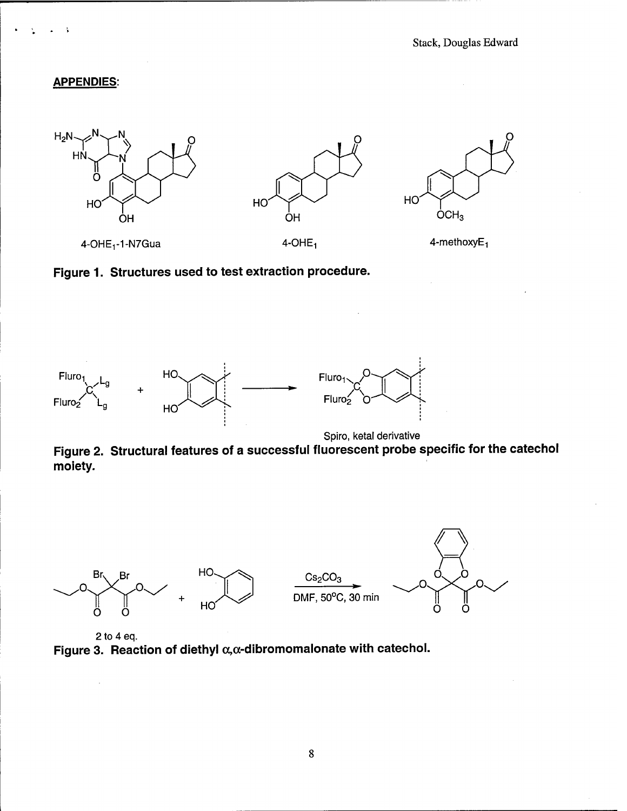## **APPENDIES:**

l,

Å







Spiro, ketal derivative

Figure 2. Structural features of a successful fluorescent probe specific for the catechol moiety.



2 to 4 eq. Figure 3. Reaction of diethyl  $\alpha, \alpha$ -dibromomalonate with catechol.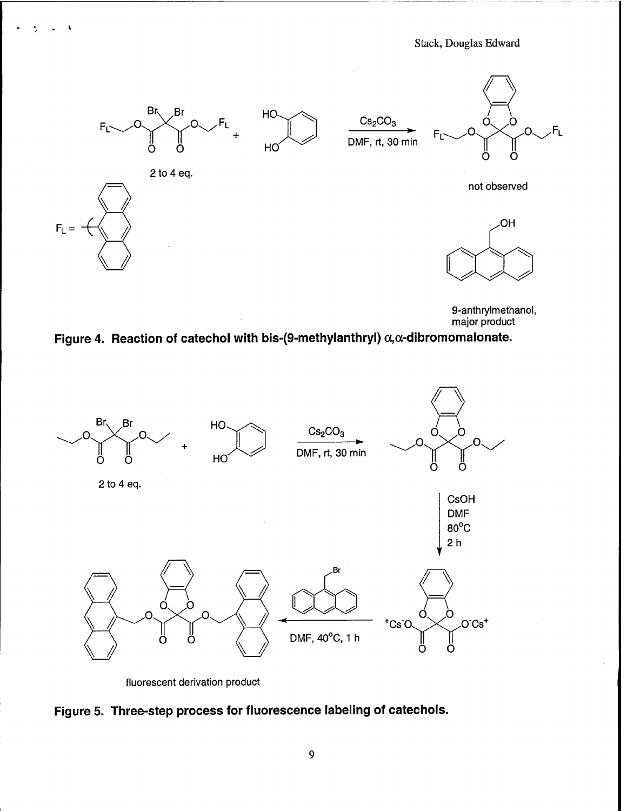Stack, Douglas Edward



9-anthrylmethanol, major product

Figure 4. Reaction of catechol with bis-(9-methylanthryl)  $\alpha, \alpha$ -dibromomalonate.



fluorescent derivation product

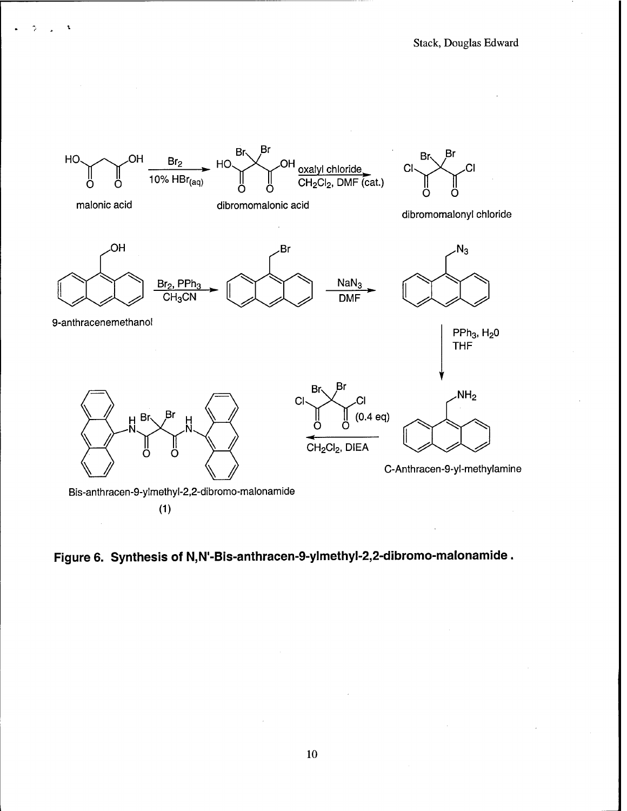

Figure 6. Synthesis of N,N'-Bis-anthracen-9-ylmethyl-2,2-dibromo-malonamide.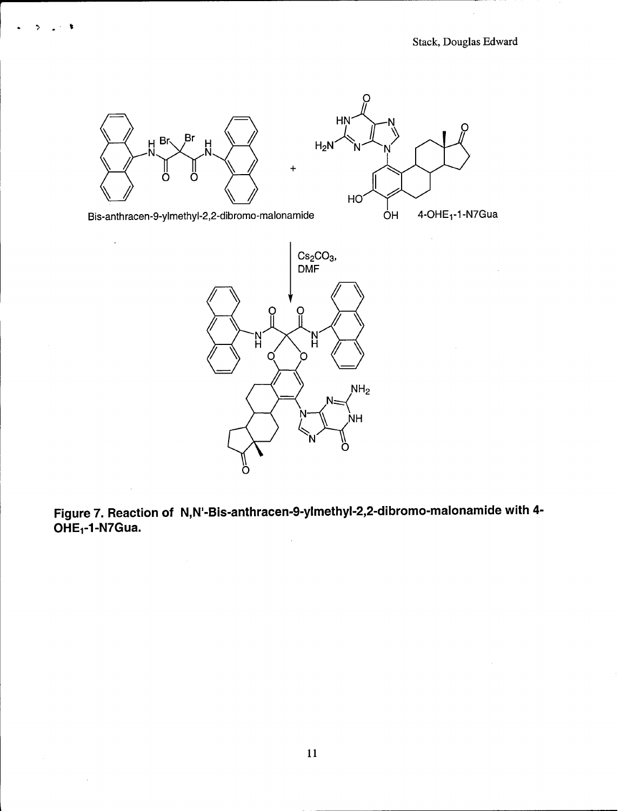

Bis-anthracen-9-ylmethyl-2,2-dibromo-malonamide

 $\hat{\mathcal{L}}$ 

 $\bar{\mathcal{A}}$ 

 $\sim$ 

 $\ddot{\phantom{1}}$ 



Figure 7. Reaction of N,N'-Bis-anthracen-9-ylmethyl-2,2-dibromo-malonamide with 4- $OHE<sub>1</sub>$ -1-N7Gua.

 $\hat{\mathcal{A}}$